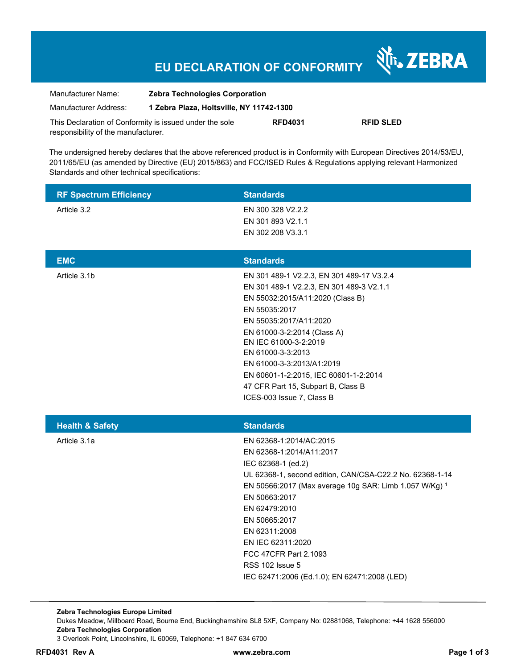## **EU DECLARATION OF CONFORMITY**

Nr. ZEBRA

| Manufacturer Name:                                      | <b>Zebra Technologies Corporation</b>    |                |                  |
|---------------------------------------------------------|------------------------------------------|----------------|------------------|
| Manufacturer Address:                                   | 1 Zebra Plaza, Holtsville, NY 11742-1300 |                |                  |
| This Declaration of Conformity is issued under the sole |                                          | <b>RFD4031</b> | <b>RFID SLED</b> |
| responsibility of the manufacturer.                     |                                          |                |                  |

The undersigned hereby declares that the above referenced product is in Conformity with European Directives 2014/53/EU, 2011/65/EU (as amended by Directive (EU) 2015/863) and FCC/ISED Rules & Regulations applying relevant Harmonized Standards and other technical specifications:

| <b>RF Spectrum Efficiency</b> | <b>Standards</b>                                                                                                                                                                                                                                                                                                                                                                            |
|-------------------------------|---------------------------------------------------------------------------------------------------------------------------------------------------------------------------------------------------------------------------------------------------------------------------------------------------------------------------------------------------------------------------------------------|
| Article 3.2                   | EN 300 328 V2.2.2<br>EN 301 893 V2.1.1<br>EN 302 208 V3.3.1                                                                                                                                                                                                                                                                                                                                 |
| <b>EMC</b>                    | <b>Standards</b>                                                                                                                                                                                                                                                                                                                                                                            |
| Article 3.1b                  | EN 301 489-1 V2.2.3, EN 301 489-17 V3.2.4<br>EN 301 489-1 V2.2.3, EN 301 489-3 V2.1.1<br>EN 55032:2015/A11:2020 (Class B)<br>EN 55035:2017<br>EN 55035:2017/A11:2020<br>EN 61000-3-2:2014 (Class A)<br>EN IEC 61000-3-2:2019<br>EN 61000-3-3:2013<br>EN 61000-3-3:2013/A1:2019<br>EN 60601-1-2:2015, IEC 60601-1-2:2014<br>47 CFR Part 15, Subpart B, Class B<br>ICES-003 Issue 7, Class B  |
| <b>Health &amp; Safety</b>    | <b>Standards</b>                                                                                                                                                                                                                                                                                                                                                                            |
| Article 3.1a                  | EN 62368-1:2014/AC:2015<br>EN 62368-1:2014/A11:2017<br>IEC 62368-1 (ed.2)<br>UL 62368-1, second edition, CAN/CSA-C22.2 No. 62368-1-14<br>EN 50566:2017 (Max average 10g SAR: Limb 1.057 W/Kg) 1<br>EN 50663:2017<br>EN 62479:2010<br>EN 50665:2017<br>EN 62311:2008<br>EN IEC 62311:2020<br>FCC 47CFR Part 2.1093<br><b>RSS 102 Issue 5</b><br>IEC 62471:2006 (Ed.1.0); EN 62471:2008 (LED) |

**Zebra Technologies Europe Limited**  Dukes Meadow, Millboard Road, Bourne End, Buckinghamshire SL8 5XF, Company No: 02881068, Telephone: +44 1628 556000 **Zebra Technologies Corporation**  3 Overlook Point, Lincolnshire, IL 60069, Telephone: +1 847 634 6700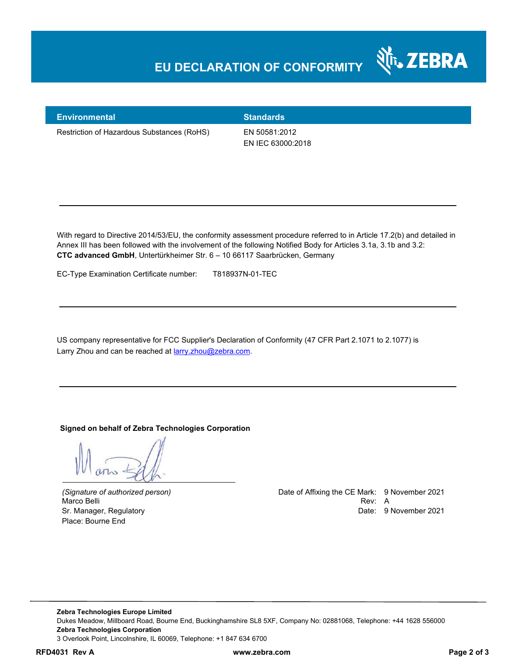### **EU DECLARATION OF CONFORMITY**



**Environmental Standards** 

Restriction of Hazardous Substances (RoHS) EN 50581:2012

EN IEC 63000:2018

With regard to Directive 2014/53/EU, the conformity assessment procedure referred to in Article 17.2(b) and detailed in Annex III has been followed with the involvement of the following Notified Body for Articles 3.1a, 3.1b and 3.2: **CTC advanced GmbH**, Untertürkheimer Str. 6 – 10 66117 Saarbrücken, Germany

EC-Type Examination Certificate number: T818937N-01-TEC

US company representative for FCC Supplier's Declaration of Conformity (47 CFR Part 2.1071 to 2.1077) is Larry Zhou and can be reached at **larry**.zhou@zebra.com.

**Signed on behalf of Zebra Technologies Corporation** 

Place: Bourne End

*(Signature of authorized person)* Date of Affixing the CE Mark: 9 November 2021 Marco Belli Rev: A Alexander Communication of the Communication of the Communication of the Communication of the Communication of the Communication of the Communication of the Communication of the Communication of the Comm Sr. Manager, Regulatory **Date: 9 November 2021** 

**Zebra Technologies Europe Limited**  Dukes Meadow, Millboard Road, Bourne End, Buckinghamshire SL8 5XF, Company No: 02881068, Telephone: +44 1628 556000 **Zebra Technologies Corporation**  3 Overlook Point, Lincolnshire, IL 60069, Telephone: +1 847 634 6700